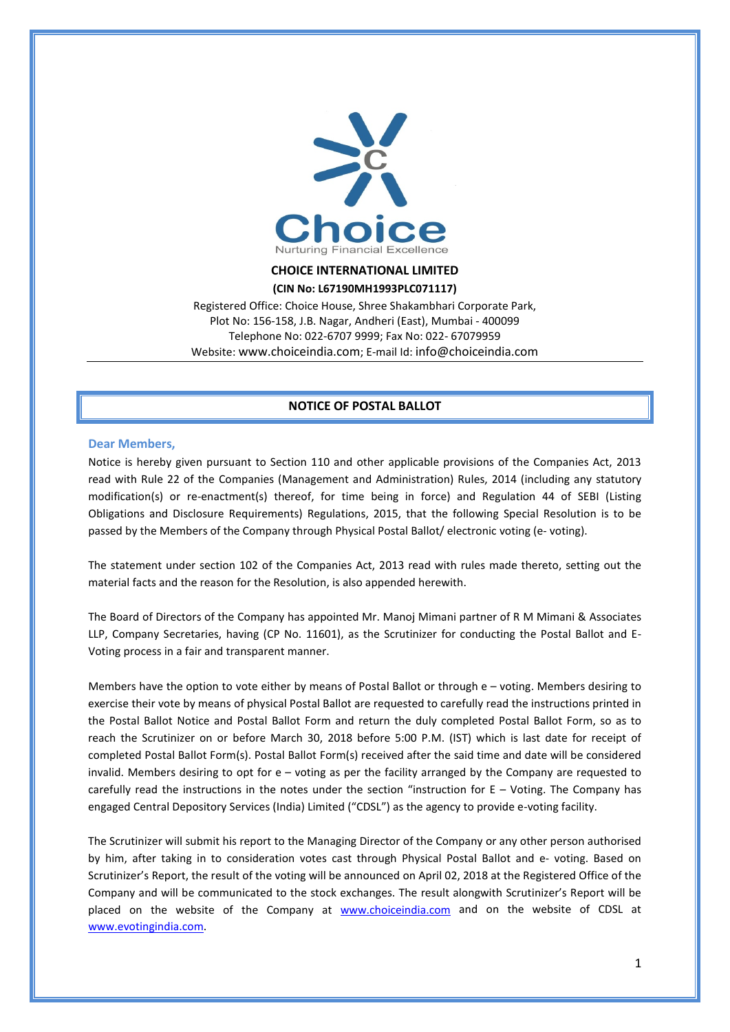

### **CHOICE INTERNATIONAL LIMITED**

#### **(CIN No: L67190MH1993PLC071117)**

Registered Office: Choice House, Shree Shakambhari Corporate Park, Plot No: 156-158, J.B. Nagar, Andheri (East), Mumbai - 400099 Telephone No: 022-6707 9999; Fax No: 022- 67079959 Website[: www.choiceindia.com;](http://www.choiceindia.com/) E-mail Id: [info@choiceindia.com](mailto:info@choiceindia.com)

## **NOTICE OF POSTAL BALLOT**

### **Dear Members,**

Notice is hereby given pursuant to Section 110 and other applicable provisions of the Companies Act, 2013 read with Rule 22 of the Companies (Management and Administration) Rules, 2014 (including any statutory modification(s) or re-enactment(s) thereof, for time being in force) and Regulation 44 of SEBI (Listing Obligations and Disclosure Requirements) Regulations, 2015, that the following Special Resolution is to be passed by the Members of the Company through Physical Postal Ballot/ electronic voting (e- voting).

The statement under section 102 of the Companies Act, 2013 read with rules made thereto, setting out the material facts and the reason for the Resolution, is also appended herewith.

The Board of Directors of the Company has appointed Mr. Manoj Mimani partner of R M Mimani & Associates LLP, Company Secretaries, having (CP No. 11601), as the Scrutinizer for conducting the Postal Ballot and E-Voting process in a fair and transparent manner.

Members have the option to vote either by means of Postal Ballot or through e – voting. Members desiring to exercise their vote by means of physical Postal Ballot are requested to carefully read the instructions printed in the Postal Ballot Notice and Postal Ballot Form and return the duly completed Postal Ballot Form, so as to reach the Scrutinizer on or before March 30, 2018 before 5:00 P.M. (IST) which is last date for receipt of completed Postal Ballot Form(s). Postal Ballot Form(s) received after the said time and date will be considered invalid. Members desiring to opt for e – voting as per the facility arranged by the Company are requested to carefully read the instructions in the notes under the section "instruction for  $E - V$ oting. The Company has engaged Central Depository Services (India) Limited ("CDSL") as the agency to provide e-voting facility.

The Scrutinizer will submit his report to the Managing Director of the Company or any other person authorised by him, after taking in to consideration votes cast through Physical Postal Ballot and e- voting. Based on Scrutinizer's Report, the result of the voting will be announced on April 02, 2018 at the Registered Office of the Company and will be communicated to the stock exchanges. The result alongwith Scrutinizer's Report will be placed on the website of the Company at [www.choiceindia.com](http://www.choiceindia.com/) and on the website of CDSL at [www.evotingindia.com.](http://www.evotingindia.com/)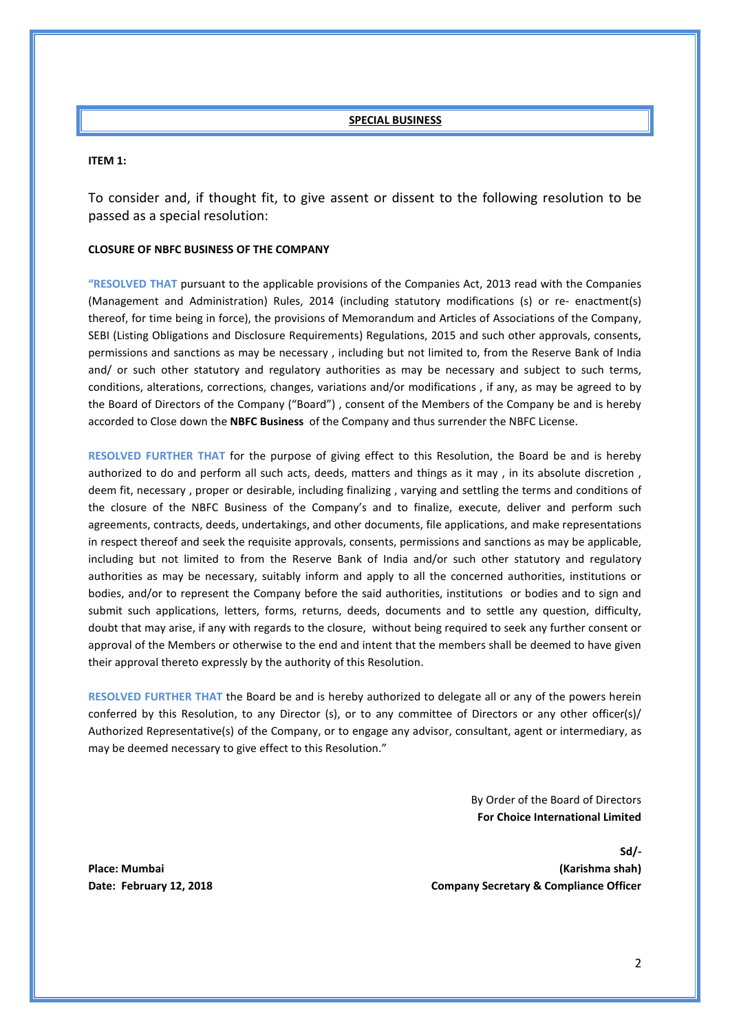## **SPECIAL BUSINESS**

#### **ITEM 1:**

To consider and, if thought fit, to give assent or dissent to the following resolution to be passed as a special resolution:

## **CLOSURE OF NBFC BUSINESS OF THE COMPANY**

**"RESOLVED THAT** pursuant to the applicable provisions of the Companies Act, 2013 read with the Companies (Management and Administration) Rules, 2014 (including statutory modifications (s) or re- enactment(s) thereof, for time being in force), the provisions of Memorandum and Articles of Associations of the Company, SEBI (Listing Obligations and Disclosure Requirements) Regulations, 2015 and such other approvals, consents, permissions and sanctions as may be necessary , including but not limited to, from the Reserve Bank of India and/ or such other statutory and regulatory authorities as may be necessary and subject to such terms, conditions, alterations, corrections, changes, variations and/or modifications , if any, as may be agreed to by the Board of Directors of the Company ("Board") , consent of the Members of the Company be and is hereby accorded to Close down the **NBFC Business** of the Company and thus surrender the NBFC License.

**RESOLVED FURTHER THAT** for the purpose of giving effect to this Resolution, the Board be and is hereby authorized to do and perform all such acts, deeds, matters and things as it may , in its absolute discretion , deem fit, necessary , proper or desirable, including finalizing , varying and settling the terms and conditions of the closure of the NBFC Business of the Company's and to finalize, execute, deliver and perform such agreements, contracts, deeds, undertakings, and other documents, file applications, and make representations in respect thereof and seek the requisite approvals, consents, permissions and sanctions as may be applicable, including but not limited to from the Reserve Bank of India and/or such other statutory and regulatory authorities as may be necessary, suitably inform and apply to all the concerned authorities, institutions or bodies, and/or to represent the Company before the said authorities, institutions or bodies and to sign and submit such applications, letters, forms, returns, deeds, documents and to settle any question, difficulty, doubt that may arise, if any with regards to the closure, without being required to seek any further consent or approval of the Members or otherwise to the end and intent that the members shall be deemed to have given their approval thereto expressly by the authority of this Resolution.

**RESOLVED FURTHER THAT** the Board be and is hereby authorized to delegate all or any of the powers herein conferred by this Resolution, to any Director (s), or to any committee of Directors or any other officer(s)/ Authorized Representative(s) of the Company, or to engage any advisor, consultant, agent or intermediary, as may be deemed necessary to give effect to this Resolution."

> By Order of the Board of Directors **For Choice International Limited**

**Sd/- Place: Mumbai (Karishma shah) Date: February 12, 2018 Company Secretary & Compliance Officer**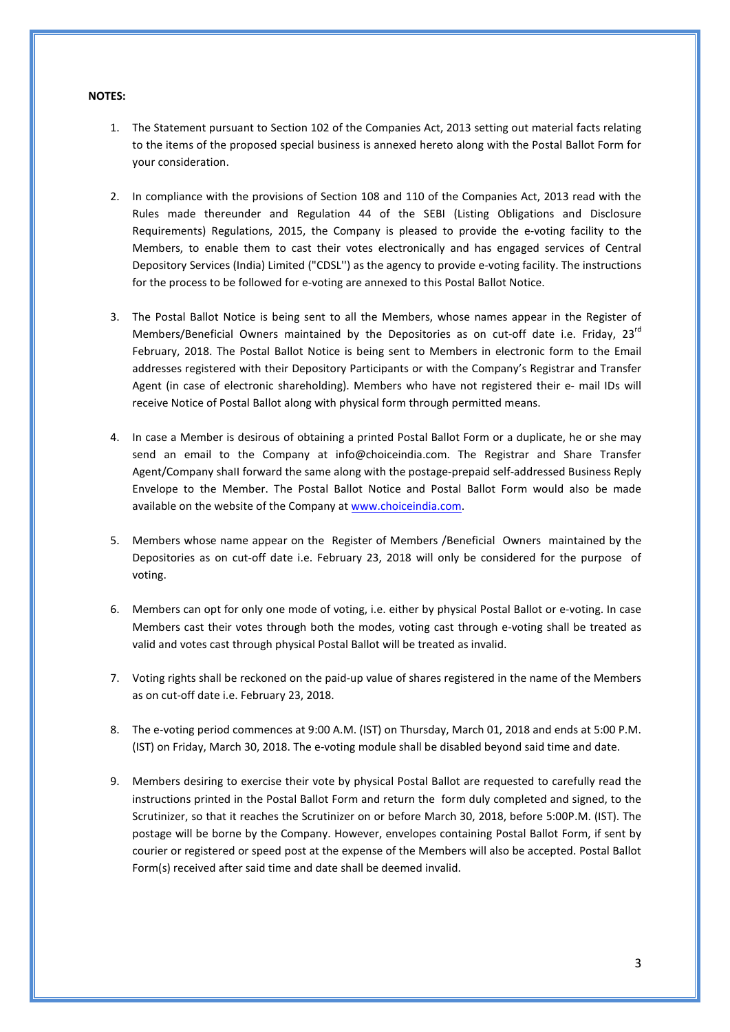#### **NOTES:**

- 1. The Statement pursuant to Section 102 of the Companies Act, 2013 setting out material facts relating to the items of the proposed special business is annexed hereto along with the Postal Ballot Form for your consideration.
- 2. In compliance with the provisions of Section 108 and 110 of the Companies Act, 2013 read with the Rules made thereunder and Regulation 44 of the SEBI (Listing Obligations and Disclosure Requirements) Regulations, 2015, the Company is pleased to provide the e-voting facility to the Members, to enable them to cast their votes electronically and has engaged services of Central Depository Services (India) Limited ("CDSL'') as the agency to provide e-voting facility. The instructions for the process to be followed for e-voting are annexed to this Postal Ballot Notice.
- 3. The Postal Ballot Notice is being sent to all the Members, whose names appear in the Register of Members/Beneficial Owners maintained by the Depositories as on cut-off date i.e. Friday, 23<sup>rd</sup> February, 2018. The Postal Ballot Notice is being sent to Members in electronic form to the Email addresses registered with their Depository Participants or with the Company's Registrar and Transfer Agent (in case of electronic shareholding). Members who have not registered their e- mail IDs will receive Notice of Postal Ballot along with physical form through permitted means.
- 4. In case a Member is desirous of obtaining a printed Postal Ballot Form or a duplicate, he or she may send an email to the Company at info@choiceindia.com. The Registrar and Share Transfer Agent/Company shaII forward the same along with the postage-prepaid self-addressed Business Reply Envelope to the Member. The Postal Ballot Notice and Postal Ballot Form would also be made available on the website of the Company a[t www.choiceindia.com.](http://www.choiceindia.com/)
- 5. Members whose name appear on the Register of Members /Beneficial Owners maintained by the Depositories as on cut-off date i.e. February 23, 2018 will only be considered for the purpose of voting.
- 6. Members can opt for only one mode of voting, i.e. either by physical Postal Ballot or e-voting. In case Members cast their votes through both the modes, voting cast through e-voting shall be treated as valid and votes cast through physical Postal Ballot will be treated as invalid.
- 7. Voting rights shall be reckoned on the paid-up value of shares registered in the name of the Members as on cut-off date i.e. February 23, 2018.
- 8. The e-voting period commences at 9:00 A.M. (IST) on Thursday, March 01, 2018 and ends at 5:00 P.M. (IST) on Friday, March 30, 2018. The e-voting module shall be disabled beyond said time and date.
- 9. Members desiring to exercise their vote by physical Postal Ballot are requested to carefully read the instructions printed in the Postal Ballot Form and return the form duly completed and signed, to the Scrutinizer, so that it reaches the Scrutinizer on or before March 30, 2018, before 5:00P.M. (IST). The postage will be borne by the Company. However, envelopes containing Postal Ballot Form, if sent by courier or registered or speed post at the expense of the Members will also be accepted. Postal Ballot Form(s) received after said time and date shall be deemed invalid.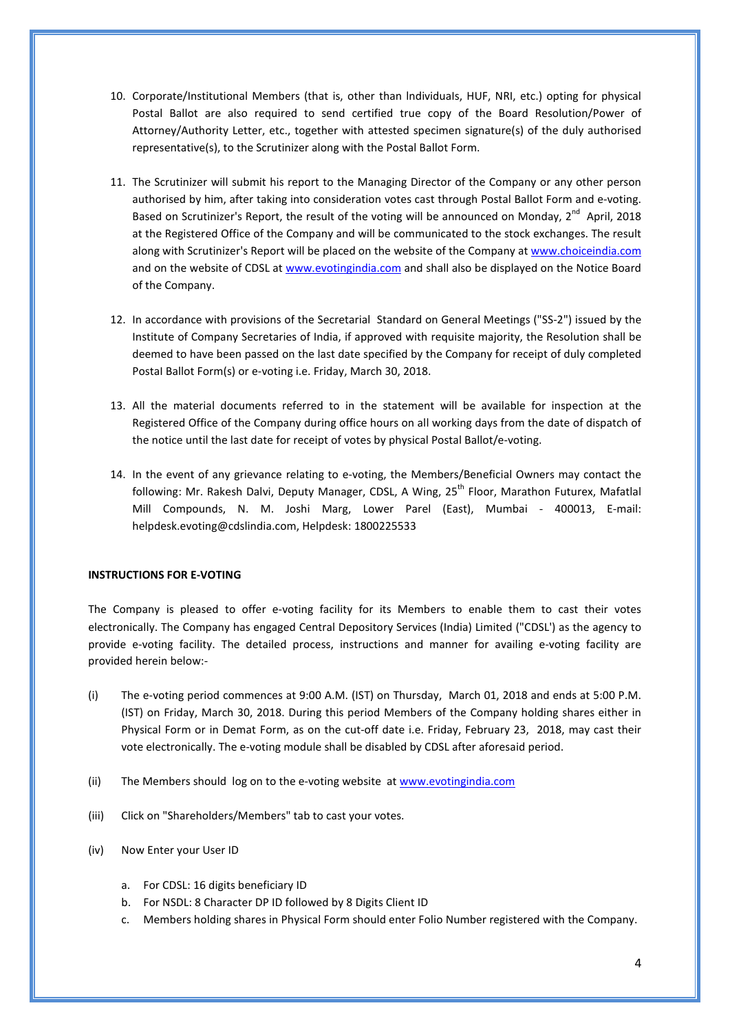- 10. Corporate/Institutional Members (that is, other than lndividuaIs, HUF, NRI, etc.) opting for physical Postal Ballot are also required to send certified true copy of the Board Resolution/Power of Attorney/Authority Letter, etc., together with attested specimen signature(s) of the duly authorised representative(s), to the Scrutinizer along with the Postal Ballot Form.
- 11. The Scrutinizer will submit his report to the Managing Director of the Company or any other person authorised by him, after taking into consideration votes cast through Postal Ballot Form and e-voting. Based on Scrutinizer's Report, the result of the voting will be announced on Monday,  $2^{nd}$  April, 2018 at the Registered Office of the Company and will be communicated to the stock exchanges. The result along with Scrutinizer's Report will be placed on the website of the Company at [www.choiceindia.com](http://www.choiceindia.com/) and on the website of CDSL at [www.evotingindia.com](http://www.evotingindia.com/) and shall also be displayed on the Notice Board of the Company.
- 12. In accordance with provisions of the Secretarial Standard on General Meetings ("SS-2") issued by the Institute of Company Secretaries of India, if approved with requisite majority, the Resolution shall be deemed to have been passed on the last date specified by the Company for receipt of duly completed PostaI Ballot Form(s) or e-voting i.e. Friday, March 30, 2018.
- 13. All the material documents referred to in the statement will be available for inspection at the Registered Office of the Company during office hours on all working days from the date of dispatch of the notice until the last date for receipt of votes by physical Postal Ballot/e-voting.
- 14. In the event of any grievance relating to e-voting, the Members/Beneficial Owners may contact the following: Mr. Rakesh Dalvi, Deputy Manager, CDSL, A Wing, 25<sup>th</sup> Floor, Marathon Futurex, Mafatlal Mill Compounds, N. M. Joshi Marg, Lower Parel (East), Mumbai - 400013, E-mail: helpdesk.evoting@cdslindia.com, Helpdesk: 1800225533

## **INSTRUCTIONS FOR E-VOTING**

The Company is pleased to offer e-voting facility for its Members to enable them to cast their votes electronically. The Company has engaged Central Depository Services (India) Limited ("CDSL') as the agency to provide e-voting facility. The detailed process, instructions and manner for availing e-voting facility are provided herein below:-

- (i) The e-voting period commences at 9:00 A.M. (IST) on Thursday, March 01, 2018 and ends at 5:00 P.M. (IST) on Friday, March 30, 2018. During this period Members of the Company holding shares either in Physical Form or in Demat Form, as on the cut-off date i.e. Friday, February 23, 2018, may cast their vote electronically. The e-voting module shall be disabled by CDSL after aforesaid period.
- (ii) The Members should log on to the e-voting website at [www.evotingindia.com](http://www.evotingindia.com/)
- (iii) Click on "Shareholders/Members" tab to cast your votes.
- (iv) Now Enter your User ID
	- a. For CDSL: 16 digits beneficiary ID
	- b. For NSDL: 8 Character DP ID followed by 8 Digits Client ID
	- c. Members holding shares in Physical Form should enter Folio Number registered with the Company.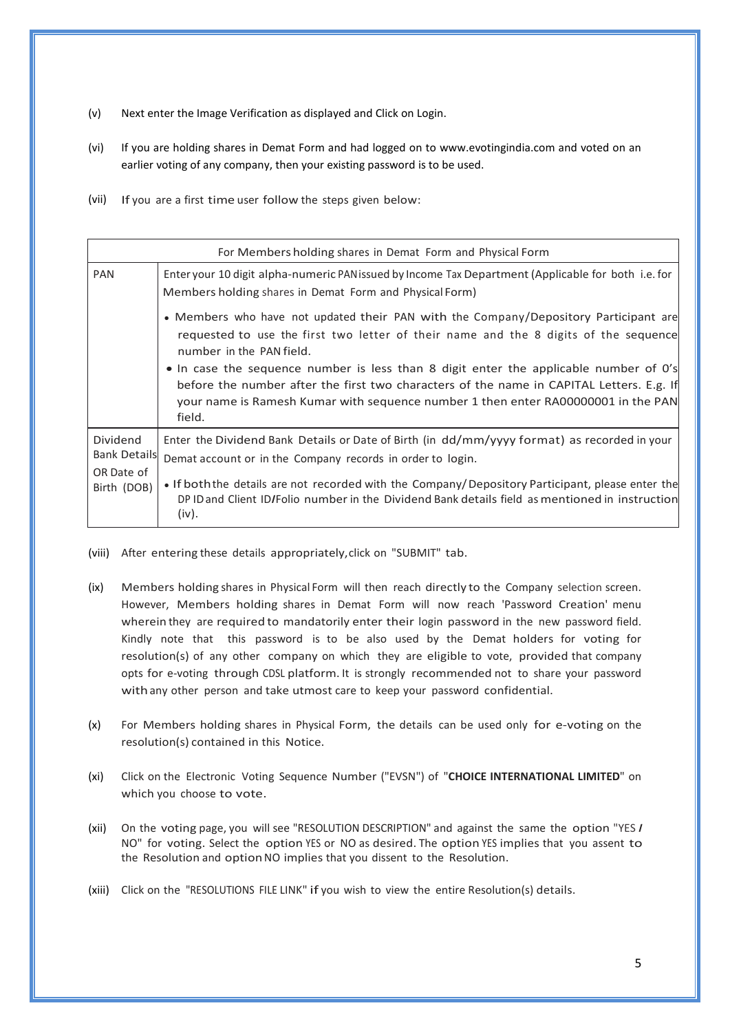- (v) Next enter the Image Verification as displayed and Click on Login.
- (vi) If you are holding shares in Demat Form and had logged on to www.evotingindia.com and voted on an earlier voting of any company, then your existing password is to be used.
- (vii) If you are a first time user follow the steps given below:

| For Members holding shares in Demat Form and Physical Form |                                                                                                                                                                                                                                                                                  |  |  |  |
|------------------------------------------------------------|----------------------------------------------------------------------------------------------------------------------------------------------------------------------------------------------------------------------------------------------------------------------------------|--|--|--|
| <b>PAN</b>                                                 | Enter your 10 digit alpha-numeric PAN issued by Income Tax Department (Applicable for both i.e. for<br>Members holding shares in Demat Form and Physical Form)                                                                                                                   |  |  |  |
|                                                            | • Members who have not updated their PAN with the Company/Depository Participant are<br>requested to use the first two letter of their name and the 8 digits of the sequence<br>number in the PAN field.                                                                         |  |  |  |
|                                                            | • In case the sequence number is less than 8 digit enter the applicable number of 0's<br>before the number after the first two characters of the name in CAPITAL Letters. E.g. If<br>your name is Ramesh Kumar with sequence number 1 then enter RA00000001 in the PAN<br>field. |  |  |  |
| <b>Dividend</b><br><b>Bank Details</b><br>OR Date of       | Enter the Dividend Bank Details or Date of Birth (in dd/mm/yyyy format) as recorded in your<br>Demat account or in the Company records in order to login.                                                                                                                        |  |  |  |
| Birth (DOB)                                                | • If both the details are not recorded with the Company/Depository Participant, please enter the<br>DPID and Client ID/Folio number in the Dividend Bank details field as mentioned in instruction<br>(iv).                                                                      |  |  |  |

- (viii) After entering these details appropriately,click on "SUBMIT" tab.
- (ix) Members holding shares in Physical Form will then reach directly to the Company selection screen. However, Members holding shares in Demat Form will now reach 'Password Creation' menu wherein they are required to mandatorily enter their login password in the new password field. Kindly note that this password is to be also used by the Demat holders for voting for resolution(s) of any other company on which they are eligible to vote, provided that company opts for e-voting through CDSL platform. It is strongly recommended not to share your password withany other person and take utmost care to keep your password confidential.
- (x) For Members holding shares in Physical Form, the details can be used only for e-voting on the resolution(s) contained in this Notice.
- (xi) Click on the Electronic Voting Sequence Number ("EVSN") of "**CHOICE INTERNATIONAL LIMITED**" on which you choose to vote.
- (xii) On the voting page, you will see "RESOLUTION DESCRIPTION" and against the same the option "YES *I* NO" for voting. Select the option YES or NO as desired. The option YES implies that you assent to the Resolution and optionNO implies that you dissent to the Resolution.
- (xiii) Click on the "RESOLUTIONS FILE LINK" if you wish to view the entire Resolution(s) details.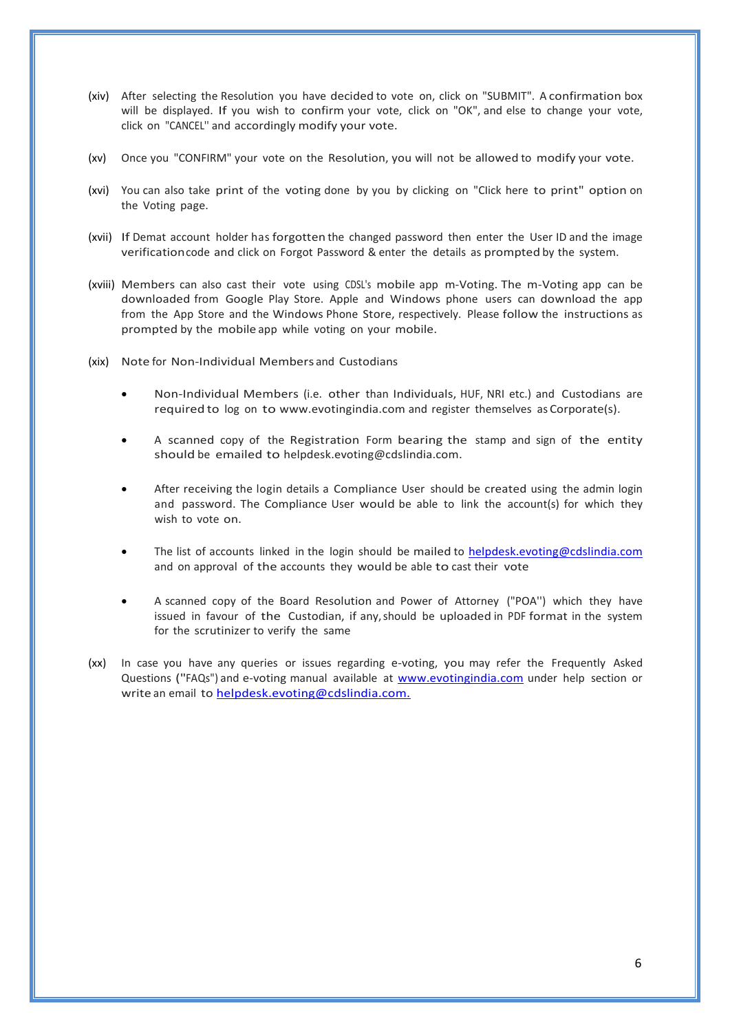- (xiv) After selecting the Resolution you have decided to vote on, click on "SUBMIT". A confirmation box will be displayed. If you wish to confirm your vote, click on "OK", and else to change your vote, click on "CANCEL'' and accordingly modify your vote.
- (xv) Once you "CONFIRM" your vote on the Resolution, you will not be allowed to modify your vote.
- (xvi) You can also take print of the voting done by you by clicking on "CIick here to print" option on the Voting page.
- (xvii) If Demat account holder has forgotten the changed password then enter the User ID and the image verificationcode and click on Forgot Password & enter the details as prompted by the system.
- (xviii) Members can aIso cast their vote using CDSL's mobile app m-Voting. The m-Voting app can be downloaded from Google Play Store. Apple and Windows phone users can download the app from the App Store and the Windows Phone Store, respectively. Please follow the instructions as prompted by the mobile app while voting on your mobile.
- (xix) Note for Non-Individual Members and Custodians
	- Non-Individual Members (i.e. other than Individuals, HUF, NRI etc.) and Custodians are required to log on to [www.evotingindia.com](http://www.evotingindia.com/) and register themselves as Corporate(s).
	- A scanned copy of the Registration Form bearing the stamp and sign of the entity should be emailed to [helpdesk.evoting@cdslindia.com.](mailto:helpdesk.evoting@cdslindia.com)
	- After receiving the login details a Compliance User should be created using the admin login and password. The Compliance User would be able to link the account(s) for which they wish to vote on.
	- The list of accounts linked in the login should be mailed to [helpdesk.evoting@cdslindia.com](mailto:helpdesk.evoting@cdslindia.com) and on approval of the accounts they would be able to cast their vote
	- A scanned copy of the Board Resolution and Power of Attorney ("POA'') which they have issued in favour of the Custodian, if any,should be uploaded in PDF format in the system for the scrutinizer to verify the same
- (xx) In case you have any queries or issues regarding e-voting, you may refer the Frequently Asked Questions ("FAQs") and e-voting manual available at [www.evotingindia.com](http://www.evotingindia.com/) under help section or write an email to [helpdesk.evoting@cdslindia.com.](mailto:helpdesk.evoting@cdslindia.com.)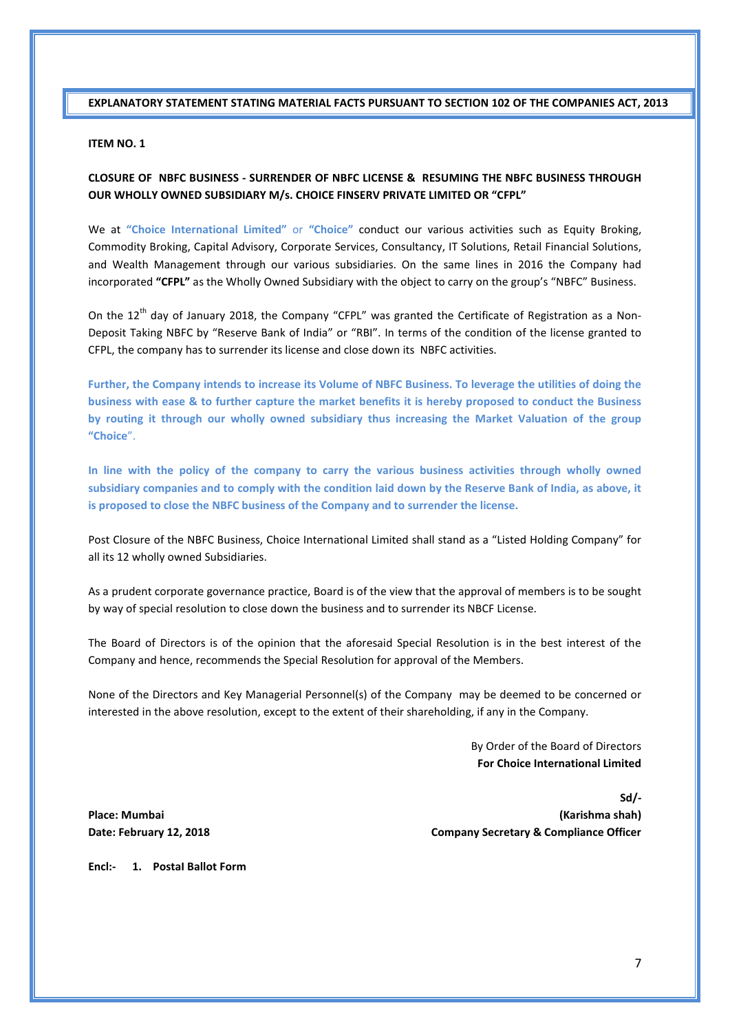**EXPLANATORY STATEMENT STATING MATERIAL FACTS PURSUANT TO SECTION 102 OF THE COMPANIES ACT, 2013**

#### **ITEM NO. 1**

# **CLOSURE OF NBFC BUSINESS - SURRENDER OF NBFC LICENSE & RESUMING THE NBFC BUSINESS THROUGH OUR WHOLLY OWNED SUBSIDIARY M/s. CHOICE FINSERV PRIVATE LIMITED OR "CFPL"**

We at **"Choice International Limited"** or **"Choice"** conduct our various activities such as Equity Broking, Commodity Broking, Capital Advisory, Corporate Services, Consultancy, IT Solutions, Retail Financial Solutions, and Wealth Management through our various subsidiaries. On the same lines in 2016 the Company had incorporated **"CFPL"** as the Wholly Owned Subsidiary with the object to carry on the group's "NBFC" Business.

On the  $12<sup>th</sup>$  day of January 2018, the Company "CFPL" was granted the Certificate of Registration as a Non-Deposit Taking NBFC by "Reserve Bank of India" or "RBI". In terms of the condition of the license granted to CFPL, the company has to surrender its license and close down its NBFC activities.

**Further, the Company intends to increase its Volume of NBFC Business. To leverage the utilities of doing the business with ease & to further capture the market benefits it is hereby proposed to conduct the Business by routing it through our wholly owned subsidiary thus increasing the Market Valuation of the group "Choice**".

**In line with the policy of the company to carry the various business activities through wholly owned subsidiary companies and to comply with the condition laid down by the Reserve Bank of India, as above, it is proposed to close the NBFC business of the Company and to surrender the license.** 

Post Closure of the NBFC Business, Choice International Limited shall stand as a "Listed Holding Company" for all its 12 wholly owned Subsidiaries.

As a prudent corporate governance practice, Board is of the view that the approval of members is to be sought by way of special resolution to close down the business and to surrender its NBCF License.

The Board of Directors is of the opinion that the aforesaid Special Resolution is in the best interest of the Company and hence, recommends the Special Resolution for approval of the Members.

None of the Directors and Key Managerial Personnel(s) of the Company may be deemed to be concerned or interested in the above resolution, except to the extent of their shareholding, if any in the Company.

> By Order of the Board of Directors **For Choice International Limited**

**Sd/- Place: Mumbai (Karishma shah) Date: February 12, 2018 Company Secretary & Compliance Officer**

**Encl:- 1. PostaI Ballot Form**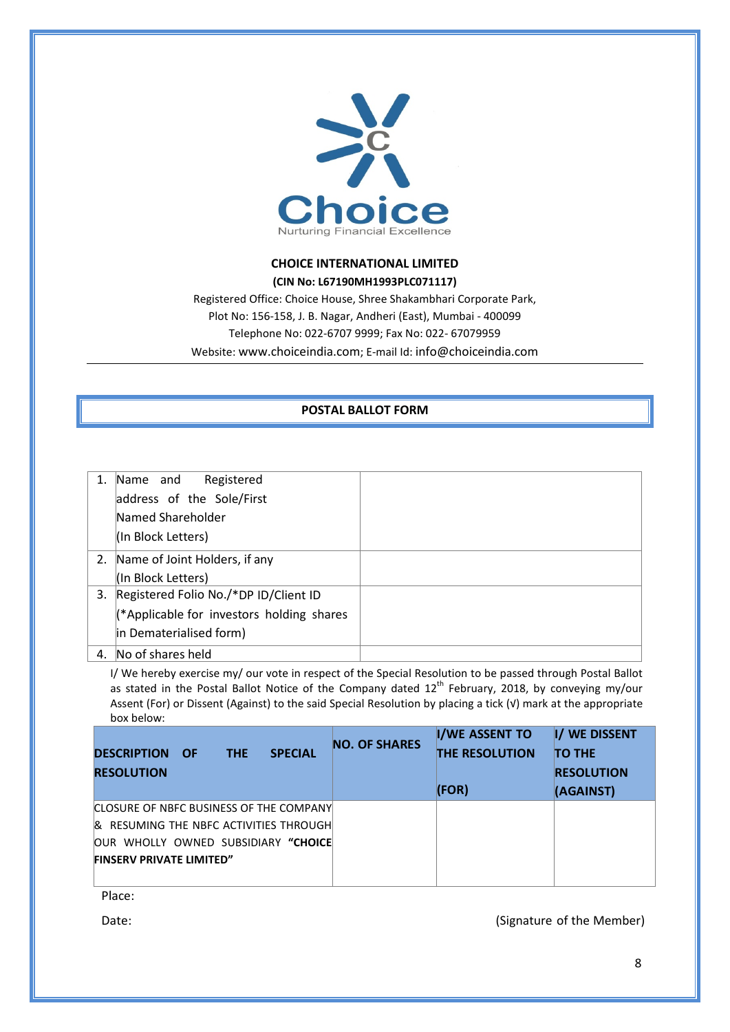

# **CHOICE INTERNATIONAL LIMITED (CIN No: L67190MH1993PLC071117)**

Registered Office: Choice House, Shree Shakambhari Corporate Park, Plot No: 156-158, J. B. Nagar, Andheri (East), Mumbai - 400099 Telephone No: 022-6707 9999; Fax No: 022- 67079959 Website[: www.choiceindia.com;](http://www.choiceindia.com/) E-mail Id: [info@choiceindia.com](mailto:info@choiceindia.com)

# **POSTAL BALLOT FORM**

|    | Name and<br>Registered<br>address of the Sole/First<br>Named Shareholder |  |
|----|--------------------------------------------------------------------------|--|
|    | (In Block Letters)                                                       |  |
|    | 2. Name of Joint Holders, if any                                         |  |
|    | (In Block Letters)                                                       |  |
|    | 3. Registered Folio No./*DP ID/Client ID                                 |  |
|    | (*Applicable for investors holding shares                                |  |
|    | in Dematerialised form)                                                  |  |
| 4. | No of shares held                                                        |  |

I/ We hereby exercise my/ our vote in respect of the Special Resolution to be passed through Postal Ballot as stated in the Postal Ballot Notice of the Company dated  $12^{th}$  February, 2018, by conveying my/our Assent (For) or Dissent (Against) to the said Special Resolution by placing a tick (√) mark at the appropriate box below:

|                                                      | <b>NO. OF SHARES</b> | <b>I/WE ASSENT TO</b> | I/ WE DISSENT     |
|------------------------------------------------------|----------------------|-----------------------|-------------------|
| <b>SPECIAL</b><br><b>DESCRIPTION</b><br>THE.<br>- OF |                      | <b>THE RESOLUTION</b> | <b>TO THE</b>     |
| <b>RESOLUTION</b>                                    |                      |                       | <b>RESOLUTION</b> |
|                                                      |                      | (FOR)                 | (AGAINST)         |
| CLOSURE OF NBFC BUSINESS OF THE COMPANY              |                      |                       |                   |
| <b>I&amp; RESUMING THE NBFC ACTIVITIES THROUGH</b>   |                      |                       |                   |
| OUR WHOLLY OWNED SUBSIDIARY "CHOICE                  |                      |                       |                   |
| <b>FINSERV PRIVATE LIMITED"</b>                      |                      |                       |                   |
|                                                      |                      |                       |                   |

Place:

Date: (Signature of the Member)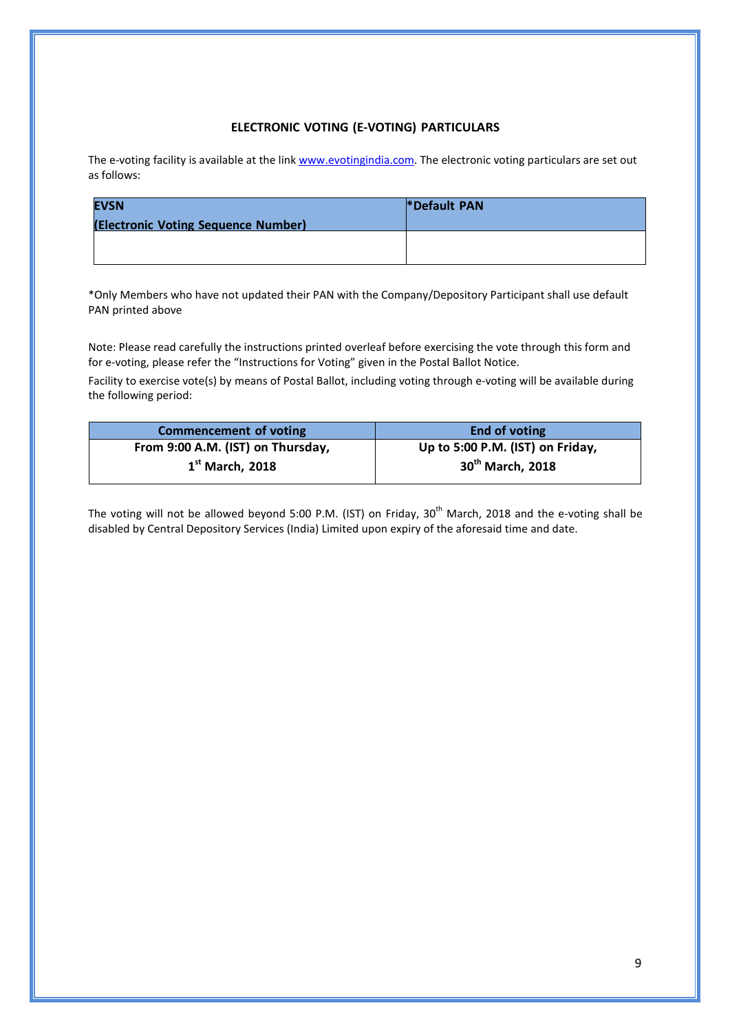# **ELECTRONIC VOTING (E-VOTING) PARTICULARS**

The e-voting facility is available at the link [www.evotingindia.com.](http://www.evotingindia.com/) The electronic voting particulars are set out as follows:

| <b>EVSN</b>                         | *Default PAN |
|-------------------------------------|--------------|
| (Electronic Voting Sequence Number) |              |
|                                     |              |
|                                     |              |

\*Only Members who have not updated their PAN with the Company/Depository Participant shall use default PAN printed above

Note: Please read carefully the instructions printed overleaf before exercising the vote through this form and for e-voting, please refer the "Instructions for Voting" given in the Postal Ballot Notice.

Facility to exercise vote(s) by means of Postal Ballot, including voting through e-voting will be available during the following period:

| <b>Commencement of voting</b>     | End of voting                    |
|-----------------------------------|----------------------------------|
| From 9:00 A.M. (IST) on Thursday, | Up to 5:00 P.M. (IST) on Friday, |
| $1st$ March, 2018                 | 30 <sup>th</sup> March, 2018     |
|                                   |                                  |

The voting will not be allowed beyond 5:00 P.M. (IST) on Friday, 30<sup>th</sup> March, 2018 and the e-voting shall be disabled by Central Depository Services (India) Limited upon expiry of the aforesaid time and date.